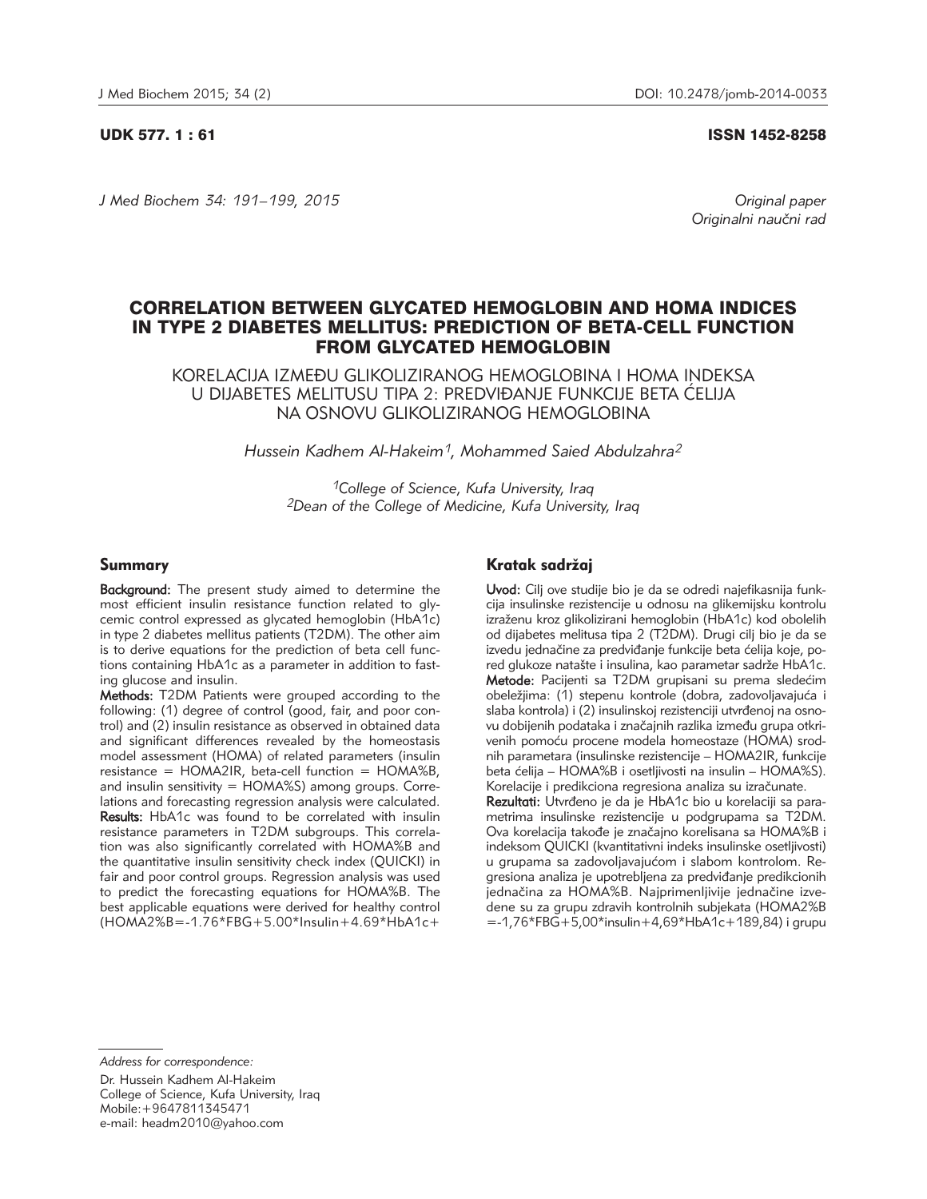UDK 577. 1 : 61 ISSN 1452-8258

*J Med Biochem 34: 191–199, 2015 Original paper*

Originalni naučni rad

# CORRELATION BETWEEN GLYCATED HEMOGLOBIN AND HOMA INDICES IN TYPE 2 DIABETES MELLITUS: PREDICTION OF BETA-CELL FUNCTION FROM GLYCATED HEMOGLOBIN

KORELACIJA IZMEĐU GLIKOLIZIRANOG HEMOGLOBINA I HOMA INDEKSA U DIJABETES MELITUSU TIPA 2: PREDVIĐANJE FUNKCIJE BETA ĆELIJA NA OSNOVU GLIKOLIZIRANOG HEMOGLOBINA

*Hussein Kadhem Al-Hakeim1, Mohammed Saied Abdulzahra2*

*1College of Science, Kufa University, Iraq 2Dean of the College of Medicine, Kufa University, Iraq*

## Summary

Background: The present study aimed to determine the most efficient insulin resistance function related to glycemic control expressed as glycated hemoglobin (HbA1c) in type 2 diabetes mellitus patients (T2DM). The other aim is to derive equations for the prediction of beta cell functions containing HbA1c as a parameter in addition to fasting glucose and insulin.

Methods: T2DM Patients were grouped according to the following: (1) degree of control (good, fair, and poor control) and (2) insulin resistance as observed in obtained data and significant differences revealed by the homeostasis model assessment (HOMA) of related parameters (insulin  $resistance = HOMA2IR$ , beta-cell function =  $HOMA\%B$ , and insulin sensitivity =  $HOMA\$ S) among groups. Correlations and forecasting regression analysis were calculated. Results: HbA1c was found to be correlated with insulin resistance parameters in T2DM subgroups. This correlation was also significantly correlated with HOMA%B and the quantitative insulin sensitivity check index (QUICKI) in fair and poor control groups. Regression analysis was used to predict the forecasting equations for HOMA%B. The best applicable equations were derived for healthy control (HOMA2%B*=*-1.76\*FBG+5.00\*Insulin+4.69\*HbA1c+

## Kratak sadržaj

Uvod: Cilj ove studije bio je da se odredi najefikasnija funkcija insulinske rezistencije u odnosu na glikemijsku kontrolu izraženu kroz glikolizirani hemoglobin (HbA1c) kod obolelih od dijabetes melitusa tipa 2 (T2DM). Drugi cilj bio je da se izvedu jednačine za predviđanje funkcije beta ćelija koje, pored glukoze natašte i insulina, kao parametar sadrže HbA1c. Metode: Pacijenti sa T2DM grupisani su prema sledećim obeležiima: (1) stepenu kontrole (dobra, zadovoljavajuća i slaba kontrola) i (2) insulinskoj rezistenciji utvrđenoj na osnovu dobijenih podataka i značajnih razlika između grupa otkrivenih pomoću procene modela homeostaze (HOMA) srodnih parametara (insulinske rezistencije – HOMA2IR, funkcije beta ćelija – HOMA%B i osetljivosti na insulin – HOMA%S). Korelacije i predikciona regresiona analiza su izračunate. Rezultati: Utvrđeno je da je HbA1c bio u korelaciji sa parametrima insulinske rezistencije u podgrupama sa T2DM. Ova korelacija takođe je značajno korelisana sa HOMA%B i indeksom QUICKI (kvantitativni indeks insulinske osetljivosti) u grupama sa zadovoljavajućom i slabom kontrolom. Regresiona analiza je upotrebljena za predviđanje predikcionih jednačina za HOMA%B. Najprimenljivije jednačine izvedene su za grupu zdravih kontrolnih subjekata (HOMA2%B

 $= -1,76*FBG+5,00*$ insulin $+4,69*HbA1c+189,84$ ) i grupu

*Address for correspondence:* 

Dr. Hussein Kadhem Al-Hakeim College of Science, Kufa University, Iraq Mobile:+9647811345471 e-mail: headm2010@yahoo.com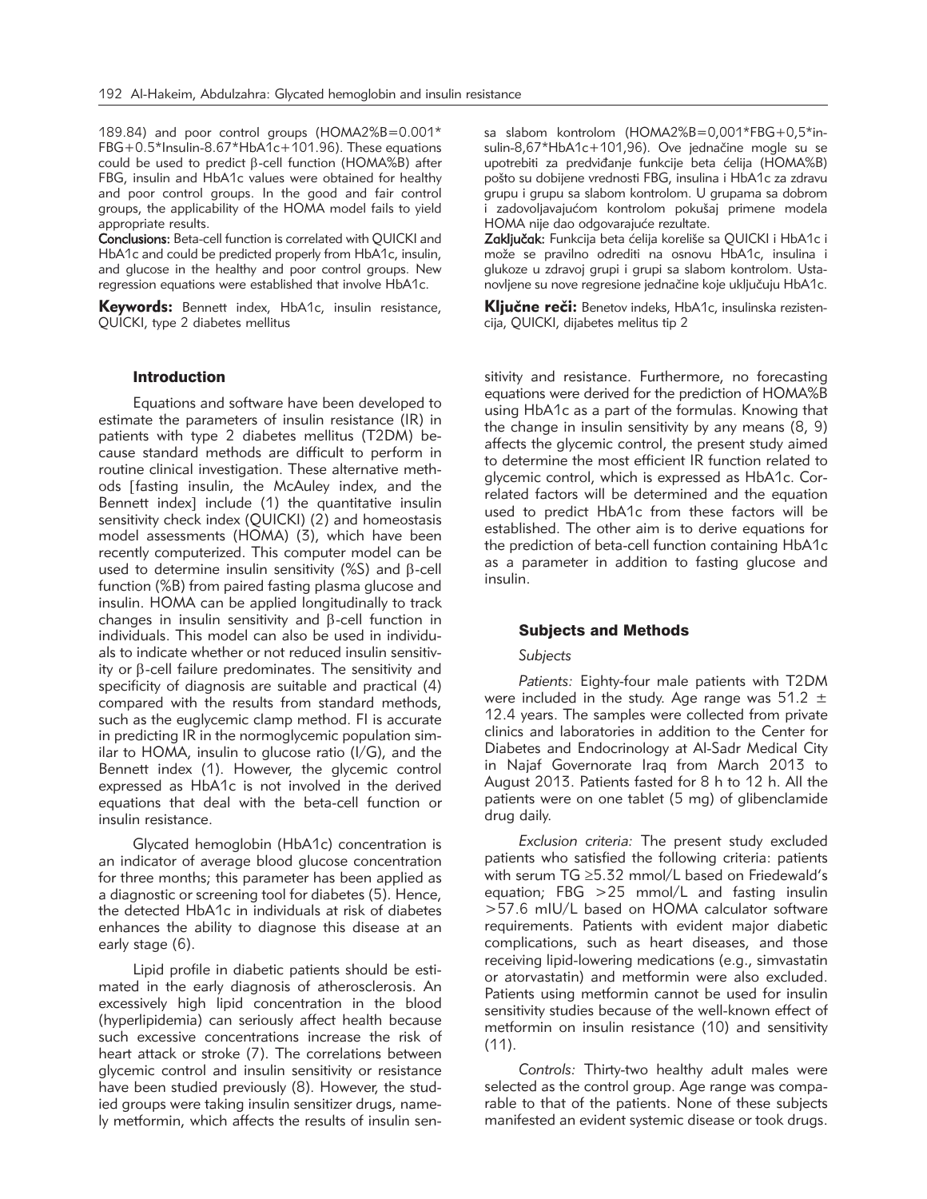189.84) and poor control groups (HOMA2%B=0.001\* FBG+0.5\*Insulin-8.67\*HbA1c+101.96). These equations could be used to predict  $\beta$ -cell function (HOMA%B) after FBG, insulin and HbA1c values were obtained for healthy and poor control groups. In the good and fair control groups, the applicability of the HOMA model fails to yield appropriate results.

Conclusions: Beta-cell function is correlated with QUICKI and HbA1c and could be predicted properly from HbA1c, insulin, and glucose in the healthy and poor control groups. New regression equations were established that involve HbA1c.

Keywords: Bennett index, HbA1c, insulin resistance, QUICKI, type 2 diabetes mellitus

## **Introduction**

Equations and software have been developed to estimate the parameters of insulin resistance (IR) in patients with type 2 diabetes mellitus (T2DM) because standard methods are difficult to perform in routine clinical investigation. These alternative methods [fasting insulin, the McAuley index, and the Bennett index] include (1) the quantitative insulin sensitivity check index (QUICKI) (2) and homeostasis model assessments (HOMA) (3), which have been recently computerized. This computer model can be used to determine insulin sensitivity (%S) and  $\beta$ -cell function (%B) from paired fasting plasma glucose and insulin. HOMA can be applied longitudinally to track changes in insulin sensitivity and b-cell function in individuals. This model can also be used in individuals to indicate whether or not reduced insulin sensitivity or  $\beta$ -cell failure predominates. The sensitivity and specificity of diagnosis are suitable and practical (4) compared with the results from standard methods, such as the euglycemic clamp method. FI is accurate in predicting IR in the normoglycemic population similar to HOMA, insulin to glucose ratio (I/G), and the Bennett index (1). However, the glycemic control expressed as HbA1c is not involved in the derived equations that deal with the beta-cell function or insulin resistance.

Glycated hemoglobin (HbA1c) concentration is an indicator of average blood glucose concentration for three months; this parameter has been applied as a diagnostic or screening tool for diabetes (5). Hence, the detected HbA1c in individuals at risk of diabetes enhances the ability to diagnose this disease at an early stage (6).

Lipid profile in diabetic patients should be estimated in the early diagnosis of atherosclerosis. An excessively high lipid concentration in the blood (hyperlipidemia) can seriously affect health because such excessive concentrations increase the risk of heart attack or stroke (7). The correlations between glycemic control and insulin sensitivity or resistance have been studied previously (8). However, the studied groups were taking insulin sensitizer drugs, namely metformin, which affects the results of insulin sensa slabom kontrolom (HOMA2%B=0,001\*FBG+0,5\*insulin-8,67\*HbA1c+101,96). Ove jednačine mogle su se upotrebiti za predviđanje funkcije beta ćelija (HOMA%B) pošto su dobijene vrednosti FBG, insulina i HbA1c za zdravu grupu i grupu sa slabom kontrolom. U grupama sa dobrom i zadovoljavajućom kontrolom pokušaj primene modela HOMA nije dao odgovarajuće rezultate.

Zaključak: Funkcija beta ćelija koreliše sa QUICKI i HbA1c i može se pravilno odrediti na osnovu HbA1c, insulina i glukoze u zdravoj grupi i grupi sa slabom kontrolom. Ustanovljene su nove regresione jednačine koje uključuju HbA1c.

Ključne reči: Benetov indeks, HbA1c, insulinska rezistencija, QUICKI, dijabetes melitus tip 2

sitivity and resistance. Furthermore, no forecasting equations were derived for the prediction of HOMA%B using HbA1c as a part of the formulas. Knowing that the change in insulin sensitivity by any means (8, 9) affects the glycemic control, the present study aimed to determine the most efficient IR function related to glycemic control, which is expressed as HbA1c. Correlated factors will be determined and the equation used to predict HbA1c from these factors will be established. The other aim is to derive equations for the prediction of beta-cell function containing HbA1c as a parameter in addition to fasting glucose and insulin.

#### Subjects and Methods

#### *Subjects*

*Patients:* Eighty-four male patients with T2DM were included in the study. Age range was  $51.2 \pm$ 12.4 years. The samples were collected from private clinics and laboratories in addition to the Center for Diabetes and Endocrinology at Al-Sadr Medical City in Najaf Governorate Iraq from March 2013 to August 2013. Patients fasted for 8 h to 12 h. All the patients were on one tablet (5 mg) of glibenclamide drug daily.

*Exclusion criteria:* The present study excluded patients who satisfied the following criteria: patients with serum TG ≥5.32 mmol/L based on Friedewald's equation; FBG >25 mmol/L and fasting insulin >57.6 mIU/L based on HOMA calculator software requirements. Patients with evident major diabetic complications, such as heart diseases, and those receiving lipid-lowering medications (e.g., simvastatin or atorvastatin) and metformin were also excluded. Patients using metformin cannot be used for insulin sensitivity studies because of the well-known effect of metformin on insulin resistance (10) and sensitivity  $(11)$ .

*Controls:* Thirty-two healthy adult males were selected as the control group. Age range was comparable to that of the patients. None of these subjects manifested an evident systemic disease or took drugs.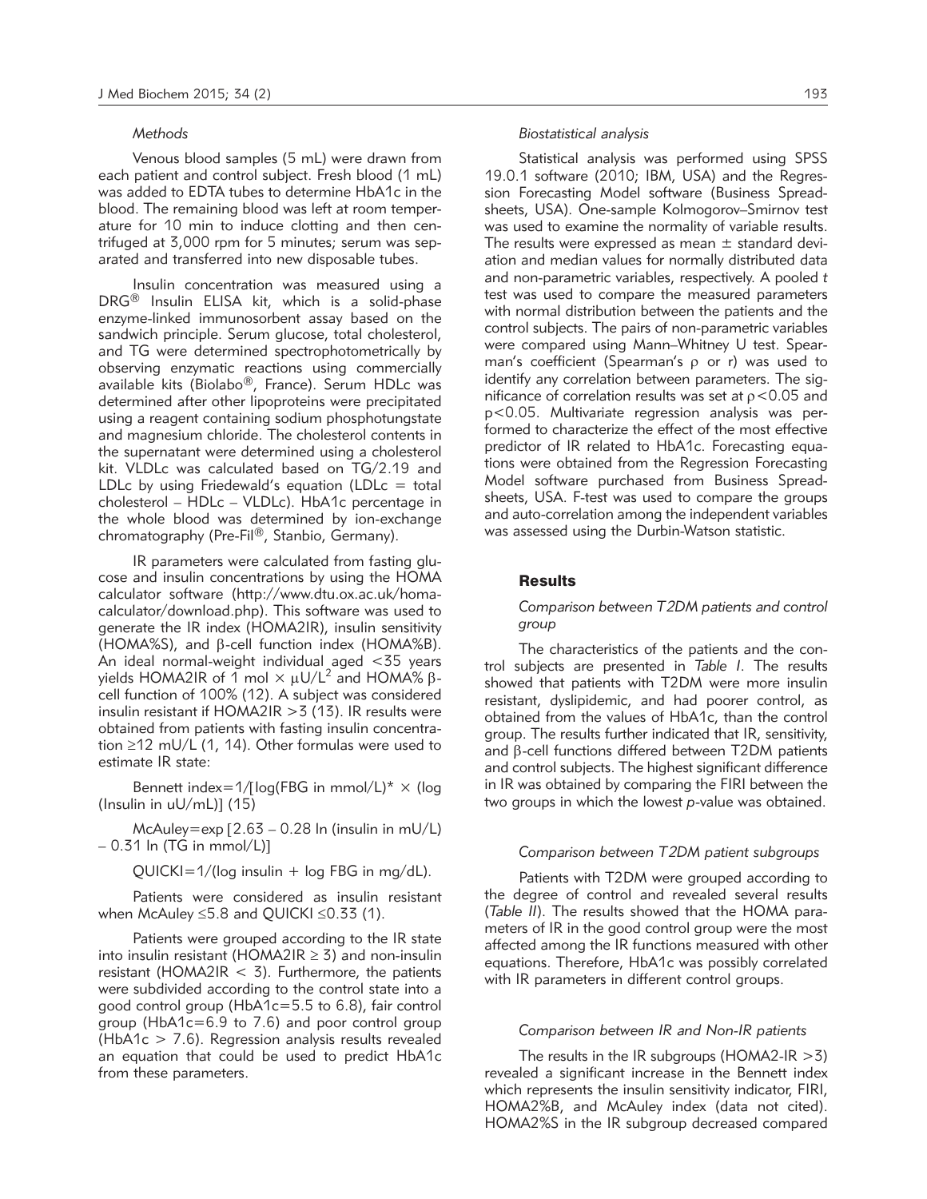#### *Methods*

Venous blood samples (5 mL) were drawn from each patient and control subject. Fresh blood (1 mL) was added to EDTA tubes to determine HbA1c in the blood. The remaining blood was left at room temperature for 10 min to induce clotting and then centrifuged at 3,000 rpm for 5 minutes; serum was separated and transferred into new disposable tubes.

Insulin concentration was measured using a DRG® Insulin ELISA kit, which is a solid-phase enzyme-linked immunosorbent assay based on the sandwich principle. Serum glucose, total cholesterol, and TG were determined spectrophotometrically by observing enzymatic reactions using commercially available kits (Biolabo®, France). Serum HDLc was determined after other lipoproteins were precipitated using a reagent containing sodium phosphotung state and magnesium chloride. The cholesterol contents in the supernatant were determined using a cholesterol kit. VLDLc was calculated based on TG/2.19 and LDLc by using Friedewald's equation (LDL $c =$  total cholesterol – HDLc – VLDLc). HbA1c percentage in the whole blood was determined by ion-exchange chromatography (Pre-Fil®, Stanbio, Germany).

IR parameters were calculated from fasting glucose and insulin concentrations by using the HOMA calculator software (http://www.dtu.ox.ac.uk/homacalculator/download.php). This software was used to generate the IR index (HOMA2IR), insulin sensitivity (HOMA%S), and  $\beta$ -cell function index (HOMA%B). An ideal normal-weight individual aged <35 years yields HOMA2IR of 1 mol  $\times \mu U/L^2$  and HOMA%  $\beta$ cell function of 100% (12). A subject was considered insulin resistant if  $HOMA2IR > 3$  (13). IR results were obtained from patients with fasting insulin concentration ≥12 mU/L (1, 14). Other formulas were used to estimate IR state:

Bennett index=1/[log(FBG in mmol/L)\*  $\times$  (log (Insulin in  $uU/mL$ ] (15)

McAuley=exp [2.63 – 0.28 ln (insulin in mU/L) – 0.31 ln (TG in mmol/L)]

 $QUICKI=1/(log$  insulin + log FBG in mg/dL).

Patients were considered as insulin resistant when McAuley ≤5.8 and QUICKI ≤0.33 (1).

Patients were grouped according to the IR state into insulin resistant (HOMA2IR  $\geq$  3) and non-insulin resistant (HOMA2IR  $<$  3). Furthermore, the patients were subdivided according to the control state into a good control group (HbA1c=5.5 to 6.8), fair control group (HbA1c=6.9 to 7.6) and poor control group (HbA1c > 7.6). Regression analysis results revealed an equation that could be used to predict HbA1c from these parameters.

## *Biostatistical analysis*

Statistical analysis was performed using SPSS 19.0.1 software (2010; IBM, USA) and the Regression Forecasting Model software (Business Spreadsheets, USA). One-sample Kolmogorov–Smirnov test was used to examine the normality of variable results. The results were expressed as mean  $\pm$  standard deviation and median values for normally distributed data and non-parametric variables, respectively. A pooled *t* test was used to compare the measured parameters with normal distribution between the patients and the control subjects. The pairs of non-parametric variables were compared using Mann-Whitney U test. Spearman's coefficient (Spearman's  $\rho$  or r) was used to identify any correlation between parameters. The significance of correlation results was set at  $p < 0.05$  and p<0.05. Multivariate regression analysis was performed to characterize the effect of the most effective predictor of IR related to HbA1c. Forecasting equations were obtained from the Regression Forecasting Model software purchased from Business Spreadsheets, USA. F-test was used to compare the groups and auto-correlation among the independent variables was assessed using the Durbin-Watson statistic.

#### Results

## *Comparison between T2DM patients and control group*

The characteristics of the patients and the control subjects are presented in *Table I*. The results showed that patients with T2DM were more insulin resistant, dyslipidemic, and had poorer control, as obtained from the values of HbA1c, than the control group. The results further indicated that IR, sensitivity, and  $\beta$ -cell functions differed between T2DM patients and control subjects. The highest significant difference in IR was obtained by comparing the FIRI between the two groups in which the lowest *p*-value was obtained.

## *Comparison between T2DM patient subgroups*

Patients with T2DM were grouped according to the degree of control and revealed several results (*Table II*). The results showed that the HOMA parameters of IR in the good control group were the most affected among the IR functions measured with other equations. Therefore, HbA1c was possibly correlated with IR parameters in different control groups.

#### *Comparison between IR and Non-IR patients*

The results in the IR subgroups (HOMA2-IR  $>3$ ) revealed a significant increase in the Bennett index which represents the insulin sensitivity indicator, FIRI, HOMA2%B, and McAuley index (data not cited). HOMA2%S in the IR subgroup decreased compared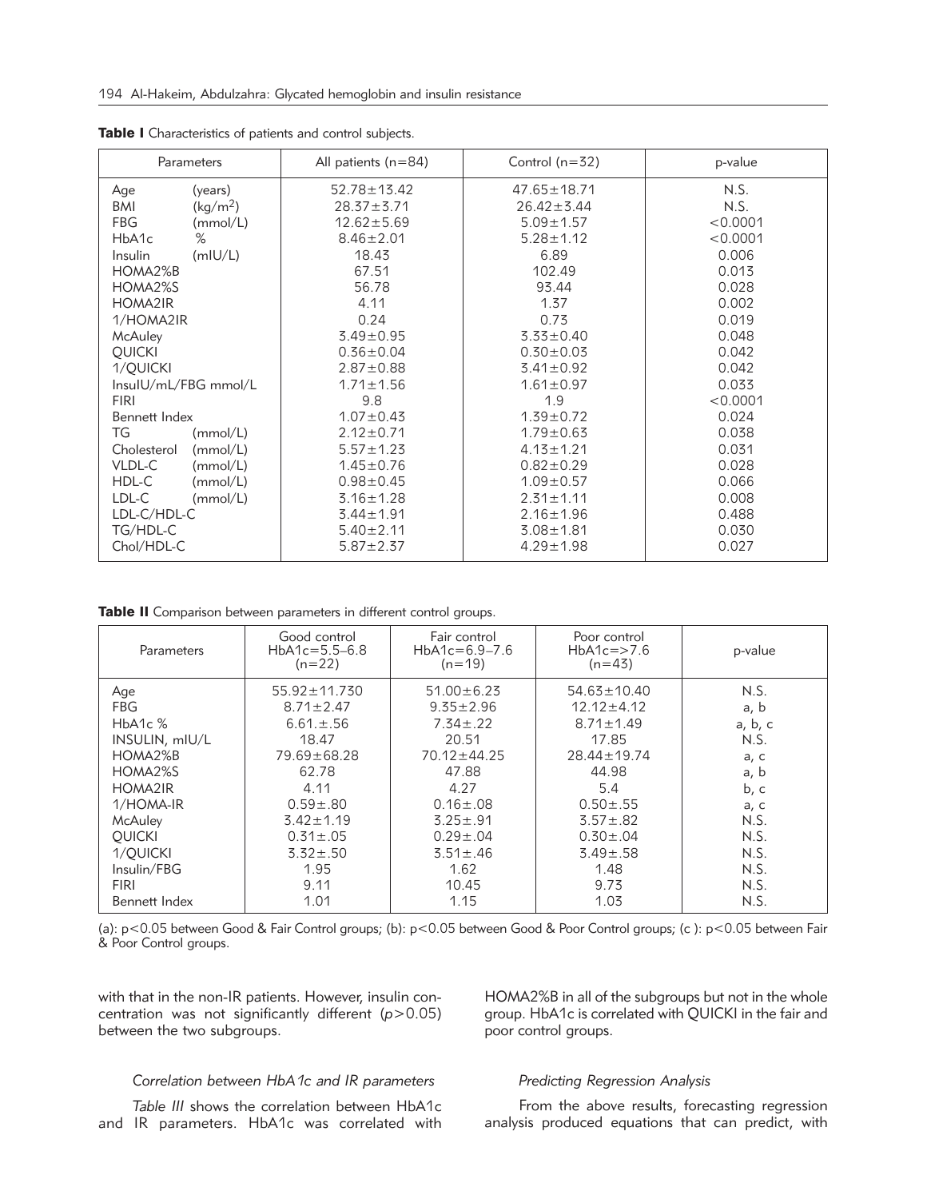| Parameters           |                      | All patients (n=84) | Control $(n=32)$  | p-value  |  |
|----------------------|----------------------|---------------------|-------------------|----------|--|
| Age                  | (years)              | $52.78 \pm 13.42$   | $47.65 \pm 18.71$ | N.S.     |  |
| BMI                  | (kg/m <sup>2</sup> ) | $28.37 \pm 3.71$    | $26.42 \pm 3.44$  | N.S.     |  |
| <b>FBG</b>           | (mmol/L)             | $12.62 \pm 5.69$    | $5.09 \pm 1.57$   | < 0.0001 |  |
| HbA <sub>1c</sub>    | $\%$                 | $8.46 \pm 2.01$     | $5.28 \pm 1.12$   | < 0.0001 |  |
| Insulin              | (mIU/L)              | 18.43               | 6.89              | 0.006    |  |
| HOMA2%B              |                      | 67.51               | 102.49            | 0.013    |  |
| HOMA2%S              |                      | 56.78               | 93.44             | 0.028    |  |
| <b>HOMA2IR</b>       |                      | 4.11                | 1.37              | 0.002    |  |
| 1/HOMA2IR            |                      | 0.24                | 0.73              | 0.019    |  |
| McAuley              |                      | $3.49 \pm 0.95$     | $3.33 \pm 0.40$   | 0.048    |  |
| <b>QUICKI</b>        |                      | $0.36 \pm 0.04$     | $0.30 \pm 0.03$   | 0.042    |  |
| 1/QUICKI             |                      | $2.87 \pm 0.88$     | $3.41 \pm 0.92$   | 0.042    |  |
| InsuIU/mL/FBG mmol/L |                      | $1.71 \pm 1.56$     | $1.61 \pm 0.97$   | 0.033    |  |
| <b>FIRI</b>          |                      | 9.8                 | 1.9               | < 0.0001 |  |
| Bennett Index        |                      | $1.07 \pm 0.43$     | $1.39 \pm 0.72$   | 0.024    |  |
| TG                   | (mmol/L)             | $2.12 \pm 0.71$     | $1.79 \pm 0.63$   | 0.038    |  |
| Cholesterol          | (mmol/L)             | $5.57 \pm 1.23$     | $4.13 \pm 1.21$   | 0.031    |  |
| VLDL-C               | (mmol/L)             | $1.45 \pm 0.76$     | $0.82 \pm 0.29$   | 0.028    |  |
| HDL-C                | (mmol/L)             | $0.98 \pm 0.45$     | $1.09 \pm 0.57$   | 0.066    |  |
| LDL-C                | (mmol/L)             | $3.16 \pm 1.28$     | $2.31 \pm 1.11$   | 0.008    |  |
| LDL-C/HDL-C          |                      | $3.44 \pm 1.91$     | $2.16 \pm 1.96$   | 0.488    |  |
| TG/HDL-C             |                      | $5.40 \pm 2.11$     | $3.08 \pm 1.81$   | 0.030    |  |
| Chol/HDL-C           |                      | $5.87 \pm 2.37$     | $4.29 \pm 1.98$   | 0.027    |  |

Table I Characteristics of patients and control subjects.

Table II Comparison between parameters in different control groups.

| Parameters     | Good control<br>$HbA1c=5.5-6.8$<br>$(n=22)$ | Fair control<br>Poor control<br>$HbA1c=6.9-7.6$<br>$HbA1c = > 7.6$<br>$(n=43)$<br>$(n=19)$ |                   | p-value |
|----------------|---------------------------------------------|--------------------------------------------------------------------------------------------|-------------------|---------|
| Age            | $55.92 \pm 11.730$                          | $51.00 \pm 6.23$                                                                           | $54.63 \pm 10.40$ | N.S.    |
| FBG            | $8.71 \pm 2.47$                             | $9.35 \pm 2.96$                                                                            | $12.12 \pm 4.12$  | a, b    |
| $HbA1c$ %      | $6.61 \pm .56$                              | $7.34 \pm .22$                                                                             | $8.71 \pm 1.49$   | a, b, c |
| INSULIN, mIU/L | 18.47                                       | 20.51                                                                                      | 17.85             | N.S.    |
| HOMA2%B        | $79.69 \pm 68.28$                           | $70.12 \pm 44.25$                                                                          | $28.44 \pm 19.74$ | a, c    |
| HOMA2%S        | 62.78                                       | 47.88                                                                                      | 44.98             | a, b    |
| HOMA2IR        | 4.11                                        | 4.27                                                                                       | 5.4               | b, c    |
| 1/HOMA-IR      | $0.59 \pm .80$                              | $0.16 \pm 0.08$                                                                            | $0.50 \pm .55$    | a, c    |
| McAuley        | $3.42 \pm 1.19$                             | $3.25 \pm .91$                                                                             | $3.57 \pm .82$    | N.S.    |
| <b>OUICKI</b>  | $0.31 \pm .05$                              | $0.29 \pm .04$                                                                             | $0.30 \pm .04$    | N.S.    |
| 1/QUICKI       | $3.32 \pm .50$                              | $3.51 \pm .46$                                                                             | $3.49 \pm .58$    | N.S.    |
| Insulin/FBG    | 1.95                                        | 1.62                                                                                       | 1.48              | N.S.    |
| <b>FIRI</b>    | 9.11                                        | 10.45                                                                                      | 9.73              | N.S.    |
| Bennett Index  | 1.01                                        | 1.15                                                                                       | 1.03              | N.S.    |

(a): p<0.05 between Good & Fair Control groups; (b): p<0.05 between Good & Poor Control groups; (c ): p<0.05 between Fair & Poor Control groups.

with that in the non-IR patients. However, insulin concentration was not significantly different (*p*>0.05) between the two subgroups.

HOMA2%B in all of the subgroups but not in the whole group. HbA1c is correlated with QUICKI in the fair and poor control groups.

## *Correlation between HbA1c and IR parameters*

*Table III* shows the correlation between HbA1c and IR parameters. HbA1c was correlated with

## *Predicting Regression Analysis*

From the above results, forecasting regression analysis produced equations that can predict, with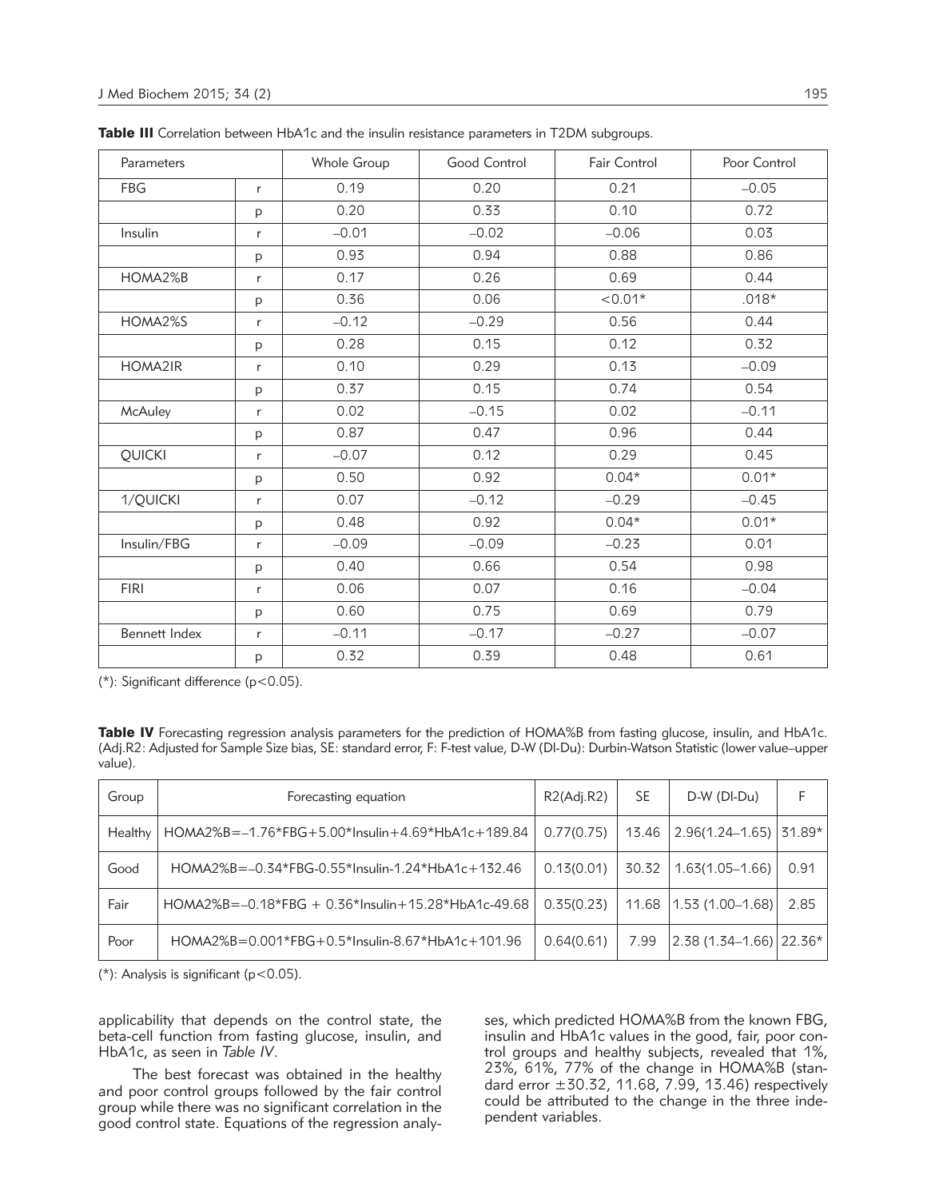| Parameters    |              | Whole Group | Good Control | <b>Fair Control</b> | Poor Control |
|---------------|--------------|-------------|--------------|---------------------|--------------|
| <b>FBG</b>    | $\mathsf{r}$ | 0.19        | 0.20         | 0.21                | $-0.05$      |
|               | p            | 0.20        | 0.33         | 0.10                | 0.72         |
| Insulin       | $\mathsf{r}$ | $-0.01$     | $-0.02$      | $-0.06$             | 0.03         |
|               | p            | 0.93        | 0.94         | 0.88                | 0.86         |
| HOMA2%B       | $\mathsf{r}$ | 0.17        | 0.26         | 0.69                | 0.44         |
|               | p            | 0.36        | 0.06         | $< 0.01*$           | $.018*$      |
| HOMA2%S       | $\mathsf{r}$ | $-0.12$     | $-0.29$      | 0.56                | 0.44         |
|               | p            | 0.28        | 0.15         | 0.12                | 0.32         |
| HOMA2IR       | $\mathsf{r}$ | 0.10        | 0.29         | 0.13                | $-0.09$      |
|               | р            | 0.37        | 0.15         | 0.74                | 0.54         |
| McAuley       | r            | 0.02        | $-0.15$      | 0.02                | $-0.11$      |
|               | p            | 0.87        | 0.47         | 0.96                | 0.44         |
| QUICKI        | $\mathsf{r}$ | $-0.07$     | 0.12         | 0.29                | 0.45         |
|               | p            | 0.50        | 0.92         | $0.04*$             | $0.01*$      |
| 1/QUICKI      | $\mathsf{r}$ | 0.07        | $-0.12$      | $-0.29$             | $-0.45$      |
|               | р            | 0.48        | 0.92         | $0.04*$             | $0.01*$      |
| Insulin/FBG   | $\mathsf r$  | $-0.09$     | $-0.09$      | $-0.23$             | 0.01         |
|               | p            | 0.40        | 0.66         | 0.54                | 0.98         |
| <b>FIRI</b>   | $\mathsf{r}$ | 0.06        | 0.07         | 0.16                | $-0.04$      |
|               | p            | 0.60        | 0.75         | 0.69                | 0.79         |
| Bennett Index | $\mathsf{r}$ | $-0.11$     | $-0.17$      | $-0.27$             | $-0.07$      |
|               | p            | 0.32        | 0.39         | 0.48                | 0.61         |

Table III Correlation between HbA1c and the insulin resistance parameters in T2DM subgroups.

(\*): Significant difference (p<0.05).

|         | <b>Table IV</b> Forecasting regression analysis parameters for the prediction of HOMA%B from fasting glucose, insulin, and HbA1c.    |  |  |  |  |
|---------|--------------------------------------------------------------------------------------------------------------------------------------|--|--|--|--|
|         | (Adj.R2: Adjusted for Sample Size bias, SE: standard error, F: F-test value, D-W (DI-Du): Durbin-Watson Statistic (lower value–upper |  |  |  |  |
| value). |                                                                                                                                      |  |  |  |  |

| Group   | Forecasting equation                                      | R2(Adi.R2) | SE    | $D-W$ ( $D I-Du$ )                               |      |
|---------|-----------------------------------------------------------|------------|-------|--------------------------------------------------|------|
| Healthy | HOMA2%B=-1.76*FBG+5.00*Insulin+4.69*HbA1c+189.84          | 0.77(0.75) | 13.46 | $2.96(1.24 - 1.65)$ 31.89*                       |      |
| Good    | $HOMA2\%B = -0.34*FBG-0.55*Insulin-1.24*HbA1c+132.46$     | 0.13(0.01) | 30.32 | $1.63(1.05 - 1.66)$                              | 0.91 |
| Fair    | $HOMA2\%B = -0.18*FBG + 0.36*Insulin + 15.28*HbA1c-49.68$ | 0.35(0.23) | 11.68 | $ 1.53(1.00-1.68) $                              | 2.85 |
| Poor    | $HOMA2\%B = 0.001*FBG + 0.5*Insulin-8.67*HbA1c+101.96$    | 0.64(0.61) | 7.99  | $\vert 2.38$ (1.34–1.66) $\vert 22.36^{*} \vert$ |      |

 $(*)$ : Analysis is significant (p<0.05).

applicability that depends on the control state, the beta-cell function from fasting glucose, insulin, and HbA1c, as seen in *Table IV*.

The best forecast was obtained in the healthy and poor control groups followed by the fair control group while there was no significant correlation in the good control state. Equations of the regression analyses, which predicted HOMA%B from the known FBG, insulin and HbA1c values in the good, fair, poor control groups and healthy subjects, revealed that 1%, 23%, 61%, 77% of the change in HOMA%B (standard error  $\pm 30.32$ , 11.68, 7.99, 13.46) respectively could be attributed to the change in the three independent variables.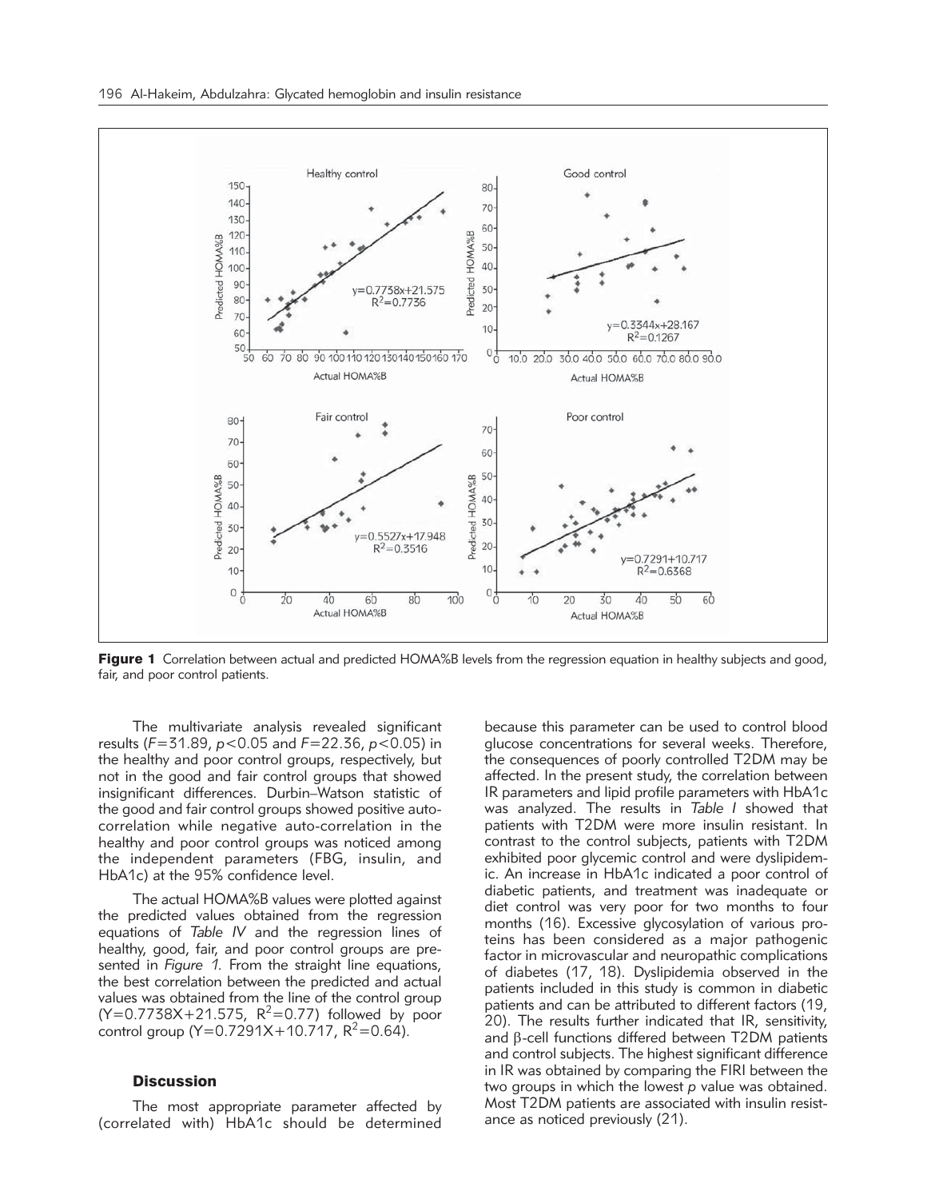

Figure 1 Correlation between actual and predicted HOMA%B levels from the regression equation in healthy subjects and good, fair, and poor control patients.

The multivariate analysis revealed significant results (*F*=31.89, *p*<0.05 and *F*=22.36, *p*<0.05) in the healthy and poor control groups, respectively, but not in the good and fair control groups that showed insignificant differences. Durbin–Watson statistic of the good and fair control groups showed positive autocorrelation while negative auto-correlation in the healthy and poor control groups was noticed among the independent parameters (FBG, insulin, and HbA1c) at the 95% confidence level.

The actual HOMA%B values were plotted against the predicted values obtained from the regression equations of *Table IV* and the regression lines of healthy, good, fair, and poor control groups are presented in *Figure 1.* From the straight line equations, the best correlation between the predicted and actual values was obtained from the line of the control group  $(Y=0.7738X + 21.575, R^2=0.77)$  followed by poor control group (Y=0.7291X+10.717,  $R^2 = 0.64$ ).

## **Discussion**

The most appropriate parameter affected by (correlated with) HbA1c should be determined

because this parameter can be used to control blood glucose concentrations for several weeks. Therefore, the consequences of poorly controlled T2DM may be affected. In the present study, the correlation between IR parameters and lipid profile parameters with HbA1c was analyzed. The results in *Table I* showed that patients with T2DM were more insulin resistant. In contrast to the control subjects, patients with T2DM exhibited poor glycemic control and were dyslipidemic. An increase in HbA1c indicated a poor control of diabetic patients, and treatment was inadequate or diet control was very poor for two months to four months (16). Excessive glycosylation of various proteins has been considered as a major pathogenic factor in microvascular and neuropathic complications of diabetes (17, 18). Dyslipidemia observed in the patients included in this study is common in diabetic patients and can be attributed to different factors (19, 20). The results further indicated that IR, sensitivity, and  $\beta$ -cell functions differed between T2DM patients and control subjects. The highest significant difference in IR was obtained by comparing the FIRI between the two groups in which the lowest *p* value was obtained. Most T2DM patients are associated with insulin resistance as noticed previously (21).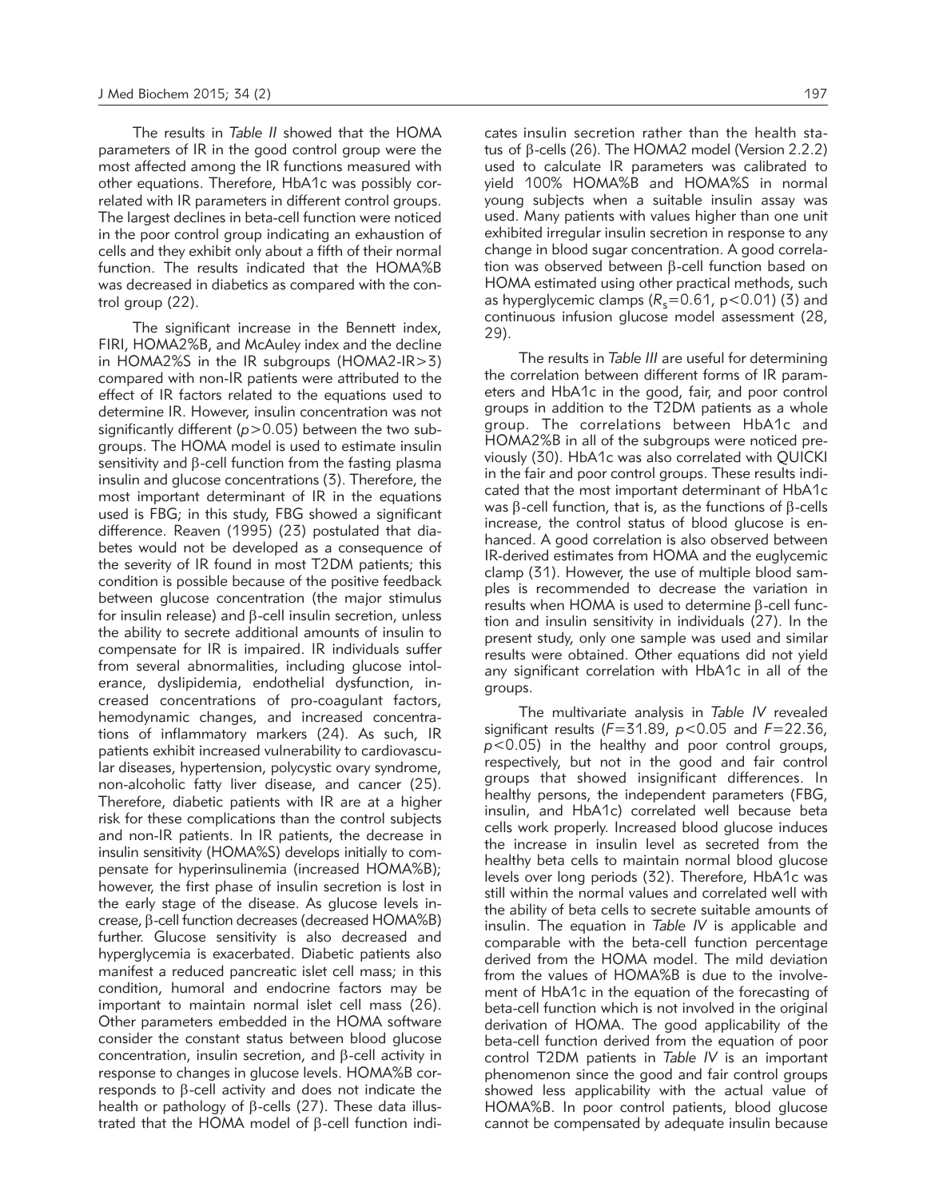The results in *Table II* showed that the HOMA parameters of IR in the good control group were the most affected among the IR functions measured with other equations. Therefore, HbA1c was possibly correlated with IR parameters in different control groups. The largest declines in beta-cell function were noticed in the poor control group indicating an exhaustion of cells and they exhibit only about a fifth of their normal function. The results indicated that the HOMA%B was decreased in diabetics as compared with the control group (22).

The significant increase in the Bennett index, FIRI, HOMA2%B, and McAuley index and the decline in HOMA2%S in the IR subgroups (HOMA2-IR>3) compared with non-IR patients were attributed to the effect of IR factors related to the equations used to determine IR. However, insulin concentration was not significantly different (*p*>0.05) between the two subgroups. The HOMA model is used to estimate insulin sensitivity and  $\beta$ -cell function from the fasting plasma insulin and glucose concentrations (3). Therefore, the most important determinant of IR in the equations used is FBG; in this study, FBG showed a significant difference. Reaven (1995) (23) postulated that diabetes would not be developed as a consequence of the severity of IR found in most T2DM patients; this condition is possible because of the positive feedback between glucose concentration (the major stimulus for insulin release) and  $\beta$ -cell insulin secretion, unless the ability to secrete additional amounts of insulin to compensate for IR is impaired. IR individuals suffer from several abnormalities, including glucose intolerance, dyslipidemia, endothelial dysfunction, increased concentrations of pro-coagulant factors, hemodynamic changes, and increased concentrations of inflammatory markers (24). As such, IR patients exhibit increased vulnerability to cardiovascular diseases, hypertension, polycystic ovary syndrome, non-alcoholic fatty liver disease, and cancer (25). Therefore, diabetic patients with IR are at a higher risk for these complications than the control subjects and non-IR patients. In IR patients, the decrease in insulin sensitivity (HOMA%S) develops initially to compensate for hyperinsulinemia (increased HOMA%B); however, the first phase of insulin secretion is lost in the early stage of the disease. As glucose levels increase,  $\beta$ -cell function decreases (decreased HOMA%B) further. Glucose sensitivity is also decreased and hyperglycemia is exacerbated. Diabetic patients also manifest a reduced pancreatic islet cell mass; in this condition, humoral and endocrine factors may be important to maintain normal islet cell mass (26). Other parameters embedded in the HOMA software consider the constant status between blood glucose concentration, insulin secretion, and  $\beta$ -cell activity in response to changes in glucose levels. HOMA%B corresponds to  $\beta$ -cell activity and does not indicate the health or pathology of  $\beta$ -cells (27). These data illustrated that the HOMA model of  $\beta$ -cell function indicates insulin secretion rather than the health status of  $\beta$ -cells (26). The HOMA2 model (Version 2.2.2) used to calculate IR parameters was calibrated to yield 100% HOMA%B and HOMA%S in normal young subjects when a suitable insulin assay was used. Many patients with values higher than one unit exhibited irregular insulin secretion in response to any change in blood sugar concentration. A good correlation was observed between  $\beta$ -cell function based on HOMA estimated using other practical methods, such as hyperglycemic clamps  $(R_s=0.61, p<0.01)$  (3) and continuous infusion glucose model assessment (28, 29).

The results in *Table III* are useful for determining the correlation between different forms of IR parameters and HbA1c in the good, fair, and poor control groups in addition to the T2DM patients as a whole group. The correlations between HbA1c and HOMA2%B in all of the subgroups were noticed previously (30). HbA1c was also correlated with QUICKI in the fair and poor control groups. These results indicated that the most important determinant of HbA1c was  $\beta$ -cell function, that is, as the functions of  $\beta$ -cells increase, the control status of blood glucose is enhanced. A good correlation is also observed between IR-derived estimates from HOMA and the euglycemic clamp (31). However, the use of multiple blood samples is recommended to decrease the variation in results when HOMA is used to determine  $\beta$ -cell function and insulin sensitivity in individuals (27). In the present study, only one sample was used and similar results were obtained. Other equations did not yield any significant correlation with HbA1c in all of the groups.

The multivariate analysis in *Table IV* revealed significant results (*F*=31.89, *p*<0.05 and *F*=22.36, *p*<0.05) in the healthy and poor control groups, respectively, but not in the good and fair control groups that showed insignificant differences. In healthy persons, the independent parameters (FBG, insulin, and HbA1c) correlated well because beta cells work properly. Increased blood glucose induces the increase in insulin level as secreted from the healthy beta cells to maintain normal blood glucose levels over long periods (32). Therefore, HbA1c was still within the normal values and correlated well with the ability of beta cells to secrete suitable amounts of insulin. The equation in *Table IV* is applicable and comparable with the beta-cell function percentage derived from the HOMA model. The mild deviation from the values of HOMA%B is due to the involvement of HbA1c in the equation of the forecasting of beta-cell function which is not involved in the original derivation of HOMA. The good applicability of the beta-cell function derived from the equation of poor control T2DM patients in *Table IV* is an important phenomenon since the good and fair control groups showed less applicability with the actual value of HOMA%B. In poor control patients, blood glucose cannot be compensated by adequate insulin because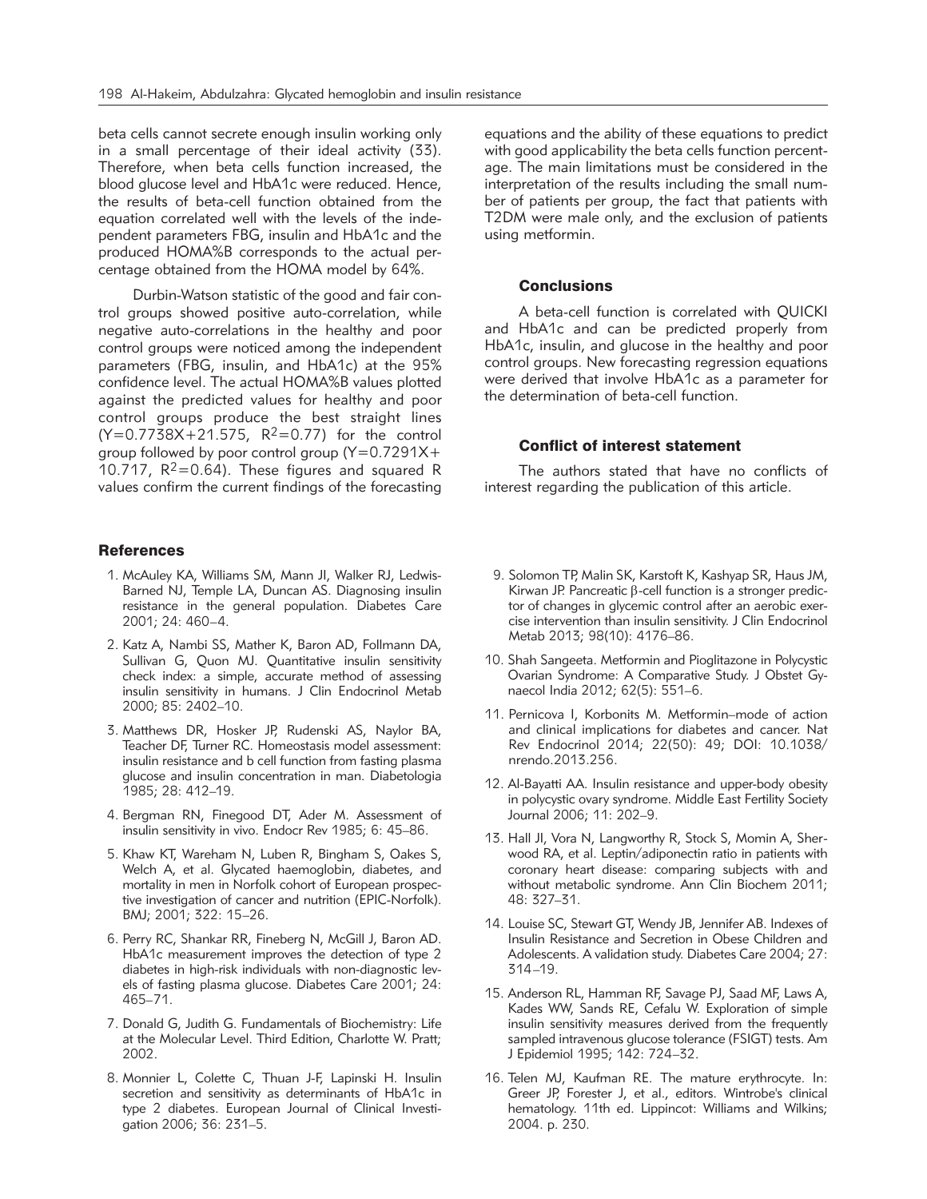beta cells cannot secrete enough insulin working only in a small percentage of their ideal activity (33). Therefore, when beta cells function increased, the blood glucose level and HbA1c were reduced. Hence, the results of beta-cell function obtained from the equation correlated well with the levels of the independent parameters FBG, insulin and HbA1c and the produced HOMA%B corresponds to the actual percentage obtained from the HOMA model by 64%.

Durbin-Watson statistic of the good and fair control groups showed positive auto-correlation, while negative auto-correlations in the healthy and poor control groups were noticed among the independent parameters (FBG, insulin, and HbA1c) at the 95% confidence level. The actual HOMA%B values plotted against the predicted values for healthy and poor control groups produce the best straight lines  $(Y=0.77\bar{3}8X+21.575, R^2=0.77)$  for the control group followed by poor control group (Y=0.7291X+ 10.717,  $R^2 = 0.64$ ). These figures and squared R values confirm the current findings of the forecasting

#### **References**

- 1. McAuley KA, Williams SM, Mann JI, Walker RJ, Ledwis-Barned NJ, Temple LA, Duncan AS. Diagnosing insulin resistance in the general population. Diabetes Care 2001; 24: 460–4.
- 2. Katz A, Nambi SS, Mather K, Baron AD, Follmann DA, Sullivan G, Quon MJ. Quantitative insulin sensitivity check index: a simple, accurate method of assessing insulin sensitivity in humans. J Clin Endocrinol Metab 2000; 85: 2402–10.
- 3. Matthews DR, Hosker JP, Rudenski AS, Naylor BA, Teacher DF, Turner RC. Homeostasis model assessment: insulin resistance and b cell function from fasting plasma glucose and insulin concentration in man. Diabetologia 1985; 28: 412–19.
- 4. Bergman RN, Finegood DT, Ader M. Assessment of insulin sensitivity in vivo. Endocr Rev 1985; 6: 45–86.
- 5. Khaw KT, Wareham N, Luben R, Bingham S, Oakes S, Welch A, et al. Glycated haemoglobin, diabetes, and mortality in men in Norfolk cohort of European prospective investigation of cancer and nutrition (EPIC-Norfolk). BMJ; 2001; 322: 15–26.
- 6. Perry RC, Shankar RR, Fineberg N, McGill J, Baron AD. HbA1c measurement improves the detection of type 2 diabetes in high-risk individuals with non-diagnostic levels of fasting plasma glucose. Diabetes Care 2001; 24: 465–71.
- 7. Donald G, Judith G. Fundamentals of Biochemistry: Life at the Molecular Level. Third Edition, Charlotte W. Pratt; 2002.
- 8. Monnier L, Colette C, Thuan J-F, Lapinski H. Insulin secretion and sensitivity as determinants of HbA1c in type 2 diabetes. European Journal of Clinical Investigation 2006; 36: 231–5.

equations and the ability of these equations to predict with good applicability the beta cells function percentage. The main limitations must be considered in the interpretation of the results including the small number of patients per group, the fact that patients with T2DM were male only, and the exclusion of patients using metformin.

#### **Conclusions**

A beta-cell function is correlated with QUICKI and HbA1c and can be predicted properly from HbA1c, insulin, and glucose in the healthy and poor control groups. New forecasting regression equations were derived that involve HbA1c as a parameter for the determination of beta-cell function.

## Conflict of interest statement

The authors stated that have no conflicts of interest regarding the publication of this article.

- 9. Solomon TP, Malin SK, Karstoft K, Kashyap SR, Haus JM, Kirwan JP. Pancreatic  $\beta$ -cell function is a stronger predictor of changes in glycemic control after an aerobic exercise intervention than insulin sensitivity. J Clin Endocrinol Metab 2013; 98(10): 4176–86.
- 10. Shah Sangeeta. Metformin and Pioglitazone in Polycystic Ovarian Syndrome: A Comparative Study. J Obstet Gynaecol India 2012; 62(5): 551–6.
- 11. Pernicova I, Korbonits M. Metformin–mode of action and clinical implications for diabetes and cancer. Nat Rev Endocrinol 2014; 22(50): 49; DOI: 10.1038/ nrendo.2013.256.
- 12. Al-Bayatti AA. Insulin resistance and upper-body obesity in polycystic ovary syndrome. Middle East Fertility Society Journal 2006; 11: 202–9.
- 13. Hall Jl, Vora N, Langworthy R, Stock S, Momin A, Sherwood RA, et al. Leptin/adiponectin ratio in patients with coronary heart disease: comparing subjects with and without metabolic syndrome. Ann Clin Biochem 2011; 48: 327–31.
- 14. Louise SC, Stewart GT, Wendy JB, Jennifer AB. Indexes of Insulin Resistance and Secretion in Obese Children and Adolescents. A validation study. Diabetes Care 2004; 27: 314–19.
- 15. Anderson RL, Hamman RF, Savage PJ, Saad MF, Laws A, Kades WW, Sands RE, Cefalu W. Exploration of simple insulin sensitivity measures derived from the frequently sampled intravenous glucose tolerance (FSIGT) tests. Am J Epidemiol 1995; 142: 724–32.
- 16. Telen MJ, Kaufman RE. The mature erythrocyte. In: Greer JP, Forester J, et al., editors. Wintrobe's clinical hematology. 11th ed. Lippincot: Williams and Wilkins; 2004. p. 230.